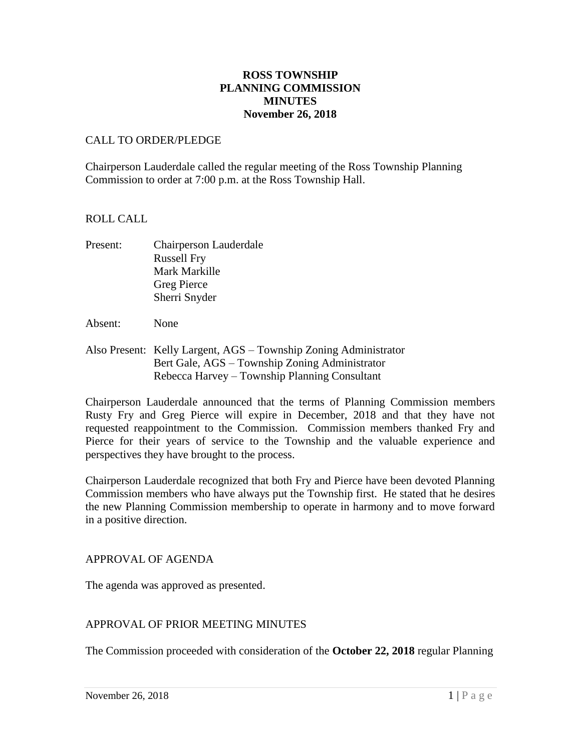## **ROSS TOWNSHIP PLANNING COMMISSION MINUTES November 26, 2018**

## CALL TO ORDER/PLEDGE

Chairperson Lauderdale called the regular meeting of the Ross Township Planning Commission to order at 7:00 p.m. at the Ross Township Hall.

#### ROLL CALL

- Present: Chairperson Lauderdale Russell Fry Mark Markille Greg Pierce Sherri Snyder
- Absent: None
- Also Present: Kelly Largent, AGS Township Zoning Administrator Bert Gale, AGS – Township Zoning Administrator Rebecca Harvey – Township Planning Consultant

Chairperson Lauderdale announced that the terms of Planning Commission members Rusty Fry and Greg Pierce will expire in December, 2018 and that they have not requested reappointment to the Commission. Commission members thanked Fry and Pierce for their years of service to the Township and the valuable experience and perspectives they have brought to the process.

Chairperson Lauderdale recognized that both Fry and Pierce have been devoted Planning Commission members who have always put the Township first. He stated that he desires the new Planning Commission membership to operate in harmony and to move forward in a positive direction.

#### APPROVAL OF AGENDA

The agenda was approved as presented.

#### APPROVAL OF PRIOR MEETING MINUTES

The Commission proceeded with consideration of the **October 22, 2018** regular Planning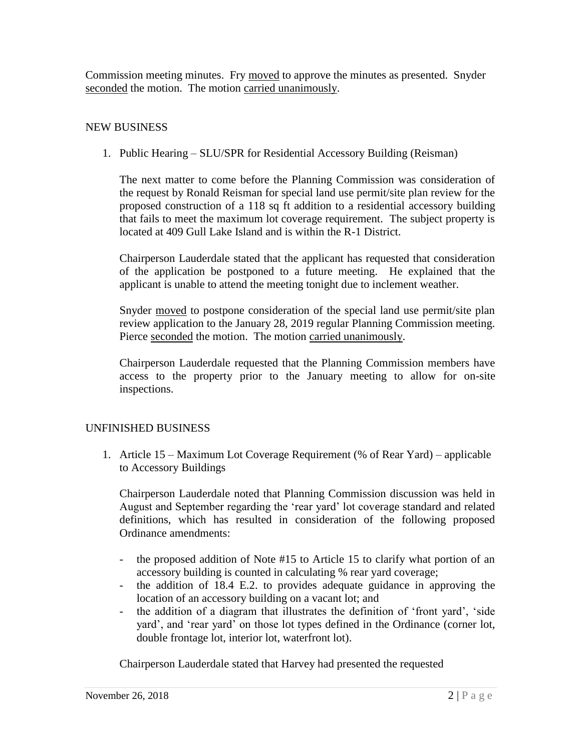Commission meeting minutes. Fry moved to approve the minutes as presented. Snyder seconded the motion. The motion carried unanimously.

# NEW BUSINESS

1. Public Hearing – SLU/SPR for Residential Accessory Building (Reisman)

The next matter to come before the Planning Commission was consideration of the request by Ronald Reisman for special land use permit/site plan review for the proposed construction of a 118 sq ft addition to a residential accessory building that fails to meet the maximum lot coverage requirement. The subject property is located at 409 Gull Lake Island and is within the R-1 District.

Chairperson Lauderdale stated that the applicant has requested that consideration of the application be postponed to a future meeting. He explained that the applicant is unable to attend the meeting tonight due to inclement weather.

Snyder moved to postpone consideration of the special land use permit/site plan review application to the January 28, 2019 regular Planning Commission meeting. Pierce seconded the motion. The motion carried unanimously.

Chairperson Lauderdale requested that the Planning Commission members have access to the property prior to the January meeting to allow for on-site inspections.

# UNFINISHED BUSINESS

1. Article 15 – Maximum Lot Coverage Requirement (% of Rear Yard) – applicable to Accessory Buildings

Chairperson Lauderdale noted that Planning Commission discussion was held in August and September regarding the 'rear yard' lot coverage standard and related definitions, which has resulted in consideration of the following proposed Ordinance amendments:

- the proposed addition of Note #15 to Article 15 to clarify what portion of an accessory building is counted in calculating % rear yard coverage;
- the addition of 18.4 E.2. to provides adequate guidance in approving the location of an accessory building on a vacant lot; and
- the addition of a diagram that illustrates the definition of 'front yard', 'side yard', and 'rear yard' on those lot types defined in the Ordinance (corner lot, double frontage lot, interior lot, waterfront lot).

Chairperson Lauderdale stated that Harvey had presented the requested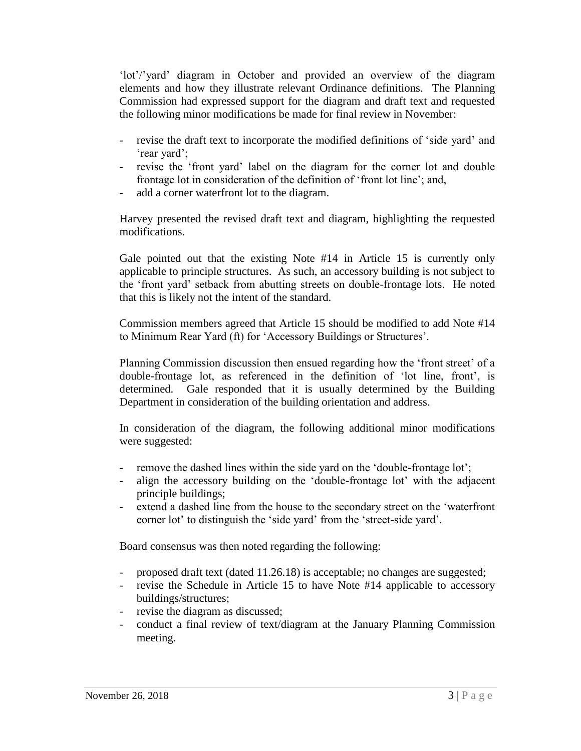'lot'/'yard' diagram in October and provided an overview of the diagram elements and how they illustrate relevant Ordinance definitions. The Planning Commission had expressed support for the diagram and draft text and requested the following minor modifications be made for final review in November:

- revise the draft text to incorporate the modified definitions of 'side yard' and 'rear yard';
- revise the 'front yard' label on the diagram for the corner lot and double frontage lot in consideration of the definition of 'front lot line'; and,
- add a corner waterfront lot to the diagram.

Harvey presented the revised draft text and diagram, highlighting the requested modifications.

Gale pointed out that the existing Note #14 in Article 15 is currently only applicable to principle structures. As such, an accessory building is not subject to the 'front yard' setback from abutting streets on double-frontage lots. He noted that this is likely not the intent of the standard.

Commission members agreed that Article 15 should be modified to add Note #14 to Minimum Rear Yard (ft) for 'Accessory Buildings or Structures'.

Planning Commission discussion then ensued regarding how the 'front street' of a double-frontage lot, as referenced in the definition of 'lot line, front', is determined. Gale responded that it is usually determined by the Building Department in consideration of the building orientation and address.

In consideration of the diagram, the following additional minor modifications were suggested:

- remove the dashed lines within the side yard on the 'double-frontage lot';
- align the accessory building on the 'double-frontage lot' with the adjacent principle buildings;
- extend a dashed line from the house to the secondary street on the 'waterfront corner lot' to distinguish the 'side yard' from the 'street-side yard'.

Board consensus was then noted regarding the following:

- proposed draft text (dated 11.26.18) is acceptable; no changes are suggested;
- revise the Schedule in Article 15 to have Note #14 applicable to accessory buildings/structures;
- revise the diagram as discussed;
- conduct a final review of text/diagram at the January Planning Commission meeting.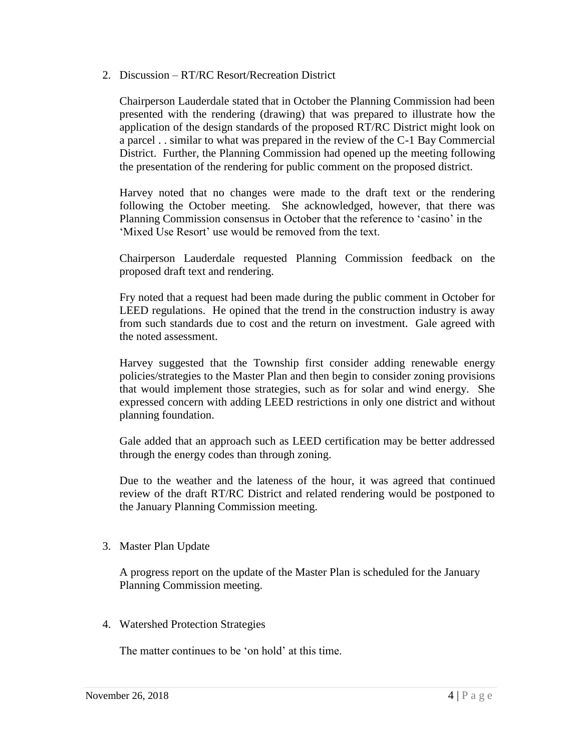2. Discussion – RT/RC Resort/Recreation District

Chairperson Lauderdale stated that in October the Planning Commission had been presented with the rendering (drawing) that was prepared to illustrate how the application of the design standards of the proposed RT/RC District might look on a parcel . . similar to what was prepared in the review of the C-1 Bay Commercial District. Further, the Planning Commission had opened up the meeting following the presentation of the rendering for public comment on the proposed district.

Harvey noted that no changes were made to the draft text or the rendering following the October meeting. She acknowledged, however, that there was Planning Commission consensus in October that the reference to 'casino' in the 'Mixed Use Resort' use would be removed from the text.

Chairperson Lauderdale requested Planning Commission feedback on the proposed draft text and rendering.

Fry noted that a request had been made during the public comment in October for LEED regulations. He opined that the trend in the construction industry is away from such standards due to cost and the return on investment. Gale agreed with the noted assessment.

Harvey suggested that the Township first consider adding renewable energy policies/strategies to the Master Plan and then begin to consider zoning provisions that would implement those strategies, such as for solar and wind energy. She expressed concern with adding LEED restrictions in only one district and without planning foundation.

Gale added that an approach such as LEED certification may be better addressed through the energy codes than through zoning.

Due to the weather and the lateness of the hour, it was agreed that continued review of the draft RT/RC District and related rendering would be postponed to the January Planning Commission meeting.

3. Master Plan Update

A progress report on the update of the Master Plan is scheduled for the January Planning Commission meeting.

4. Watershed Protection Strategies

The matter continues to be 'on hold' at this time.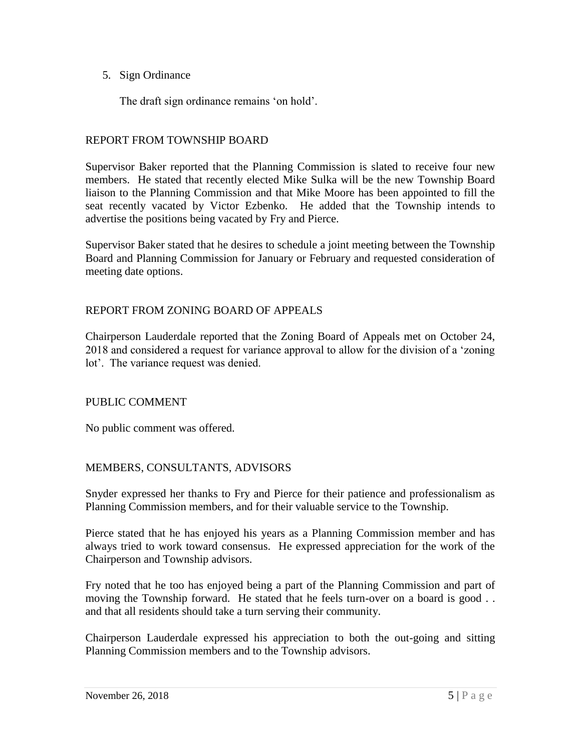## 5. Sign Ordinance

The draft sign ordinance remains 'on hold'.

#### REPORT FROM TOWNSHIP BOARD

Supervisor Baker reported that the Planning Commission is slated to receive four new members. He stated that recently elected Mike Sulka will be the new Township Board liaison to the Planning Commission and that Mike Moore has been appointed to fill the seat recently vacated by Victor Ezbenko. He added that the Township intends to advertise the positions being vacated by Fry and Pierce.

Supervisor Baker stated that he desires to schedule a joint meeting between the Township Board and Planning Commission for January or February and requested consideration of meeting date options.

#### REPORT FROM ZONING BOARD OF APPEALS

Chairperson Lauderdale reported that the Zoning Board of Appeals met on October 24, 2018 and considered a request for variance approval to allow for the division of a 'zoning lot'. The variance request was denied.

#### PUBLIC COMMENT

No public comment was offered.

## MEMBERS, CONSULTANTS, ADVISORS

Snyder expressed her thanks to Fry and Pierce for their patience and professionalism as Planning Commission members, and for their valuable service to the Township.

Pierce stated that he has enjoyed his years as a Planning Commission member and has always tried to work toward consensus. He expressed appreciation for the work of the Chairperson and Township advisors.

Fry noted that he too has enjoyed being a part of the Planning Commission and part of moving the Township forward. He stated that he feels turn-over on a board is good .. and that all residents should take a turn serving their community.

Chairperson Lauderdale expressed his appreciation to both the out-going and sitting Planning Commission members and to the Township advisors.